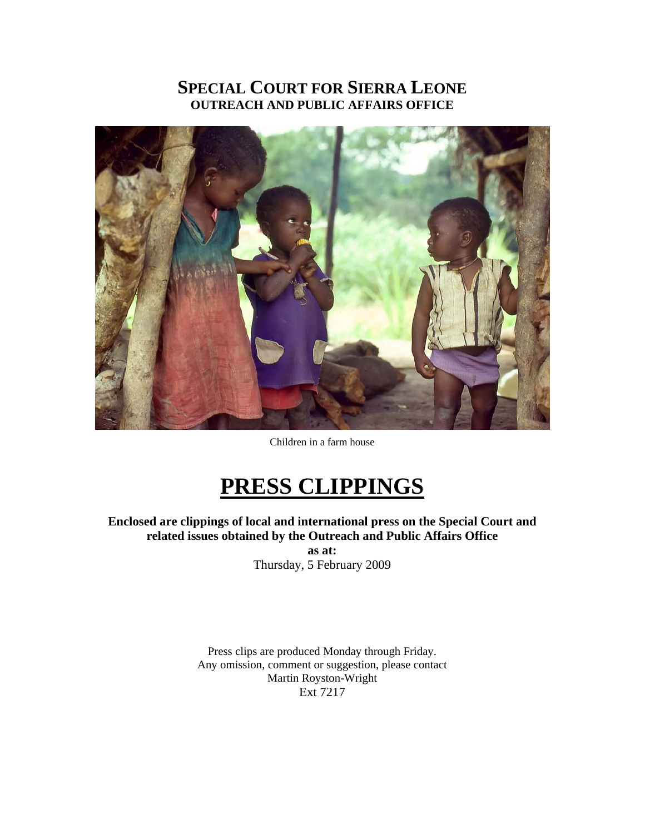# **SPECIAL COURT FOR SIERRA LEONE OUTREACH AND PUBLIC AFFAIRS OFFICE**



Children in a farm house

# **PRESS CLIPPINGS**

**Enclosed are clippings of local and international press on the Special Court and related issues obtained by the Outreach and Public Affairs Office as at:**  Thursday, 5 February 2009

> Press clips are produced Monday through Friday. Any omission, comment or suggestion, please contact Martin Royston-Wright Ext 7217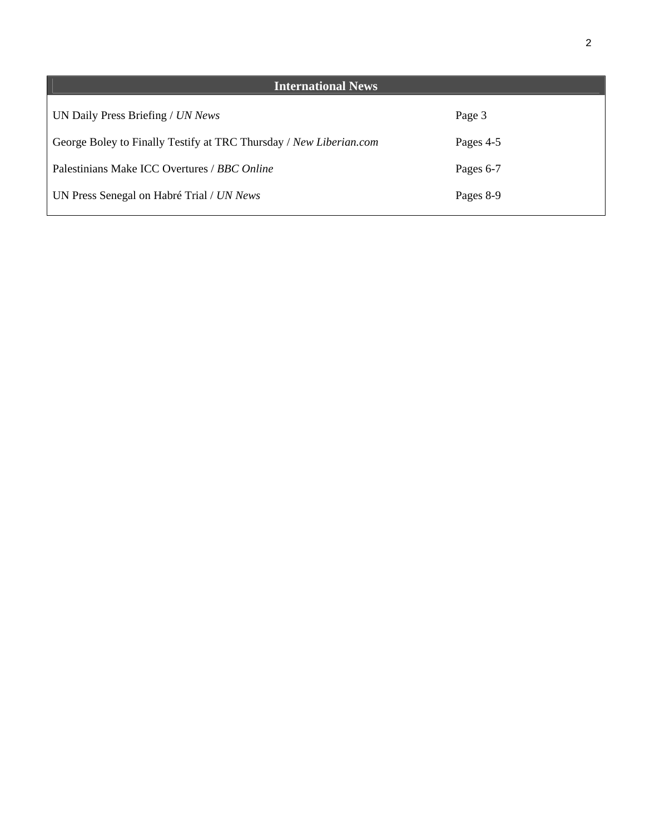| <b>International News</b>                                          |           |
|--------------------------------------------------------------------|-----------|
| UN Daily Press Briefing / UN News                                  | Page 3    |
| George Boley to Finally Testify at TRC Thursday / New Liberian.com | Pages 4-5 |
| Palestinians Make ICC Overtures / BBC Online                       | Pages 6-7 |
| UN Press Senegal on Habré Trial / UN News                          | Pages 8-9 |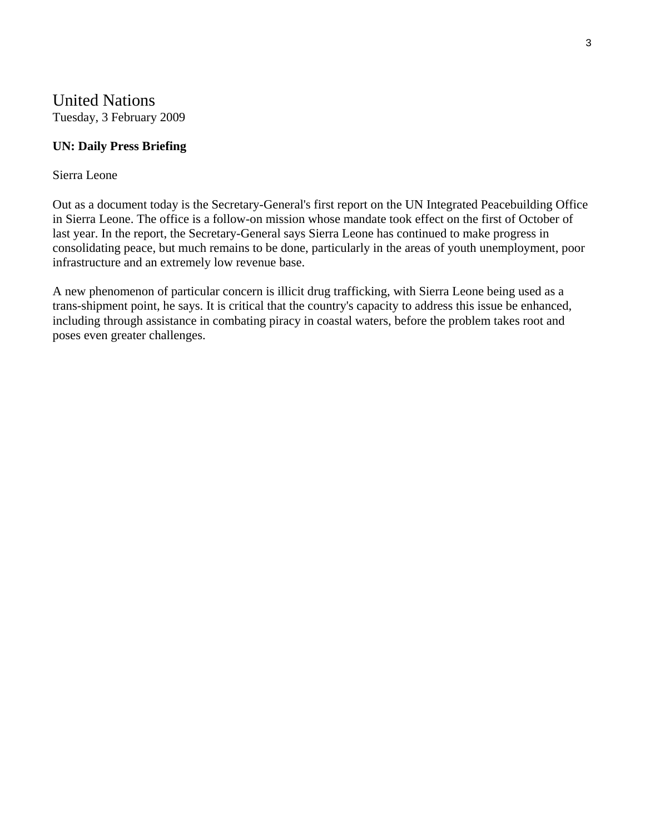# United Nations Tuesday, 3 February 2009

#### **UN: Daily Press Briefing**

#### Sierra Leone

Out as a document today is the Secretary-General's first report on the UN Integrated Peacebuilding Office in Sierra Leone. The office is a follow-on mission whose mandate took effect on the first of October of last year. In the report, the Secretary-General says Sierra Leone has continued to make progress in consolidating peace, but much remains to be done, particularly in the areas of youth unemployment, poor infrastructure and an extremely low revenue base.

A new phenomenon of particular concern is illicit drug trafficking, with Sierra Leone being used as a trans-shipment point, he says. It is critical that the country's capacity to address this issue be enhanced, including through assistance in combating piracy in coastal waters, before the problem takes root and poses even greater challenges.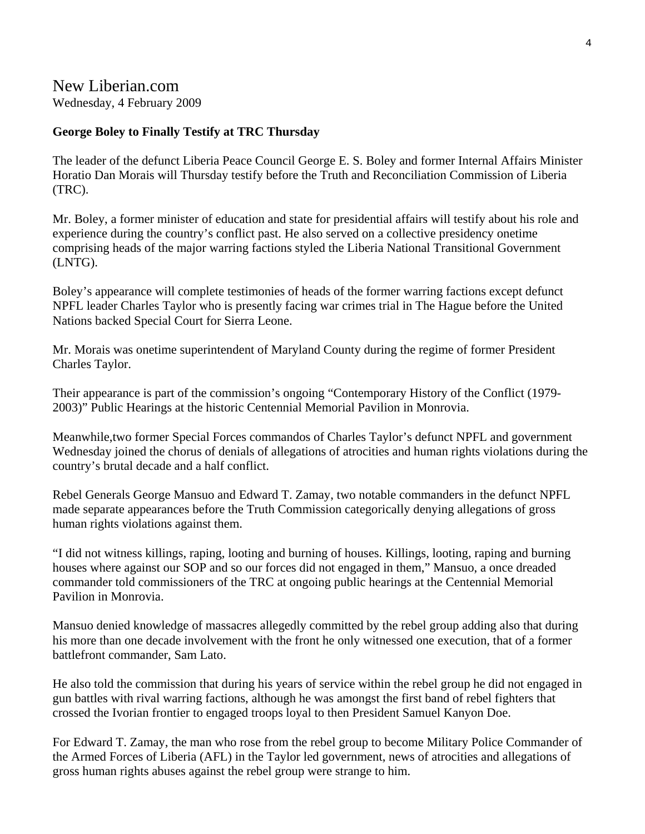## New Liberian.com

Wednesday, 4 February 2009

#### **George Boley to Finally Testify at TRC Thursday**

The leader of the defunct Liberia Peace Council George E. S. Boley and former Internal Affairs Minister Horatio Dan Morais will Thursday testify before the Truth and Reconciliation Commission of Liberia (TRC).

Mr. Boley, a former minister of education and state for presidential affairs will testify about his role and experience during the country's conflict past. He also served on a collective presidency onetime comprising heads of the major warring factions styled the Liberia National Transitional Government (LNTG).

Boley's appearance will complete testimonies of heads of the former warring factions except defunct NPFL leader Charles Taylor who is presently facing war crimes trial in The Hague before the United Nations backed Special Court for Sierra Leone.

Mr. Morais was onetime superintendent of Maryland County during the regime of former President Charles Taylor.

Their appearance is part of the commission's ongoing "Contemporary History of the Conflict (1979- 2003)" Public Hearings at the historic Centennial Memorial Pavilion in Monrovia.

Meanwhile,two former Special Forces commandos of Charles Taylor's defunct NPFL and government Wednesday joined the chorus of denials of allegations of atrocities and human rights violations during the country's brutal decade and a half conflict.

Rebel Generals George Mansuo and Edward T. Zamay, two notable commanders in the defunct NPFL made separate appearances before the Truth Commission categorically denying allegations of gross human rights violations against them.

"I did not witness killings, raping, looting and burning of houses. Killings, looting, raping and burning houses where against our SOP and so our forces did not engaged in them," Mansuo, a once dreaded commander told commissioners of the TRC at ongoing public hearings at the Centennial Memorial Pavilion in Monrovia.

Mansuo denied knowledge of massacres allegedly committed by the rebel group adding also that during his more than one decade involvement with the front he only witnessed one execution, that of a former battlefront commander, Sam Lato.

He also told the commission that during his years of service within the rebel group he did not engaged in gun battles with rival warring factions, although he was amongst the first band of rebel fighters that crossed the Ivorian frontier to engaged troops loyal to then President Samuel Kanyon Doe.

For Edward T. Zamay, the man who rose from the rebel group to become Military Police Commander of the Armed Forces of Liberia (AFL) in the Taylor led government, news of atrocities and allegations of gross human rights abuses against the rebel group were strange to him.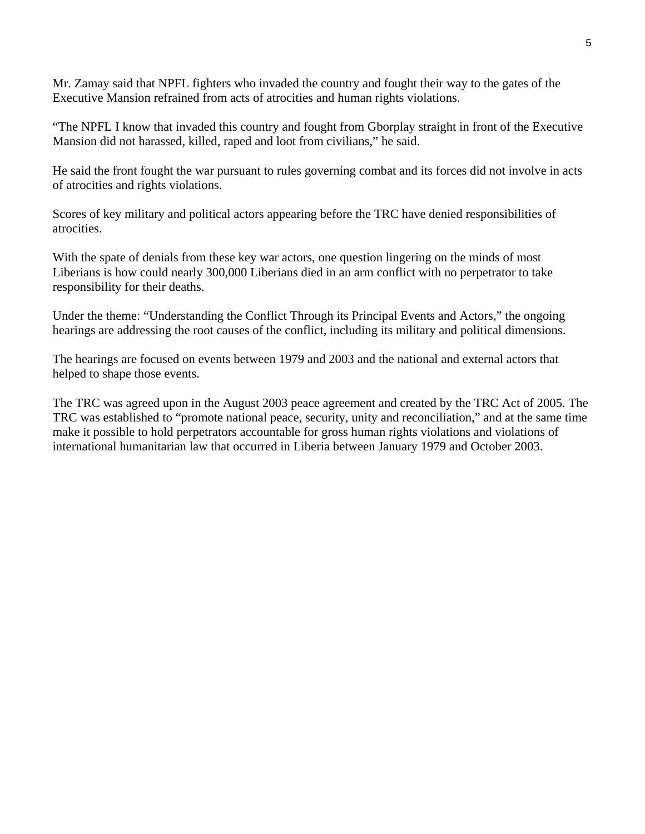Mr. Zamay said that NPFL fighters who invaded the country and fought their way to the gates of the Executive Mansion refrained from acts of atrocities and human rights violations.

"The NPFL I know that invaded this country and fought from Gborplay straight in front of the Executive Mansion did not harassed, killed, raped and loot from civilians," he said.

He said the front fought the war pursuant to rules governing combat and its forces did not involve in acts of atrocities and rights violations.

Scores of key military and political actors appearing before the TRC have denied responsibilities of atrocities.

With the spate of denials from these key war actors, one question lingering on the minds of most Liberians is how could nearly 300,000 Liberians died in an arm conflict with no perpetrator to take responsibility for their deaths.

Under the theme: "Understanding the Conflict Through its Principal Events and Actors," the ongoing hearings are addressing the root causes of the conflict, including its military and political dimensions.

The hearings are focused on events between 1979 and 2003 and the national and external actors that helped to shape those events.

The TRC was agreed upon in the August 2003 peace agreement and created by the TRC Act of 2005. The TRC was established to "promote national peace, security, unity and reconciliation," and at the same time make it possible to hold perpetrators accountable for gross human rights violations and violations of international humanitarian law that occurred in Liberia between January 1979 and October 2003.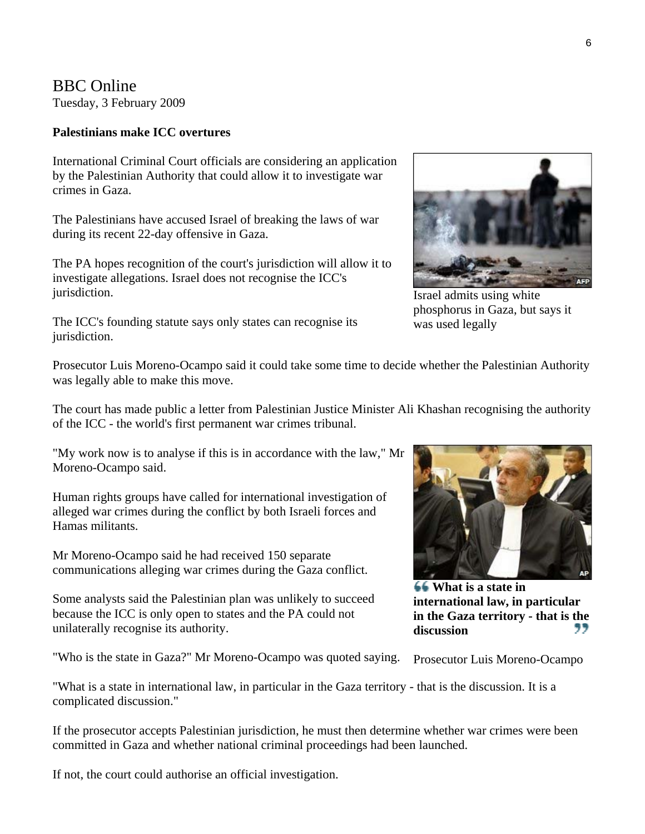## BBC Online

Tuesday, 3 February 2009

#### **Palestinians make ICC overtures**

International Criminal Court officials are considering an application by the Palestinian Authority that could allow it to investigate war crimes in Gaza.

The Palestinians have accused Israel of breaking the laws of war during its recent 22-day offensive in Gaza.

The PA hopes recognition of the court's jurisdiction will allow it to investigate allegations. Israel does not recognise the ICC's jurisdiction.

The ICC's founding statute says only states can recognise its jurisdiction.

Israel admits using white

phosphorus in Gaza, but says it was used legally

Prosecutor Luis Moreno-Ocampo said it could take some time to decide whether the Palestinian Authority was legally able to make this move.

The court has made public a letter from Palestinian Justice Minister Ali Khashan recognising the authority of the ICC - the world's first permanent war crimes tribunal.

"My work now is to analyse if this is in accordance with the law," Mr Moreno-Ocampo said.

Human rights groups have called for international investigation of alleged war crimes during the conflict by both Israeli forces and Hamas militants.

Mr Moreno-Ocampo said he had received 150 separate communications alleging war crimes during the Gaza conflict.

Some analysts said the Palestinian plan was unlikely to succeed because the ICC is only open to states and the PA could not unilaterally recognise its authority.

"Who is the state in Gaza?" Mr Moreno-Ocampo was quoted saying.



**What is a state in international law, in particular in the Gaza territory - that is the**  99 **discussion**

Prosecutor Luis Moreno-Ocampo

"What is a state in international law, in particular in the Gaza territory - that is the discussion. It is a complicated discussion."

If the prosecutor accepts Palestinian jurisdiction, he must then determine whether war crimes were been committed in Gaza and whether national criminal proceedings had been launched.

If not, the court could authorise an official investigation.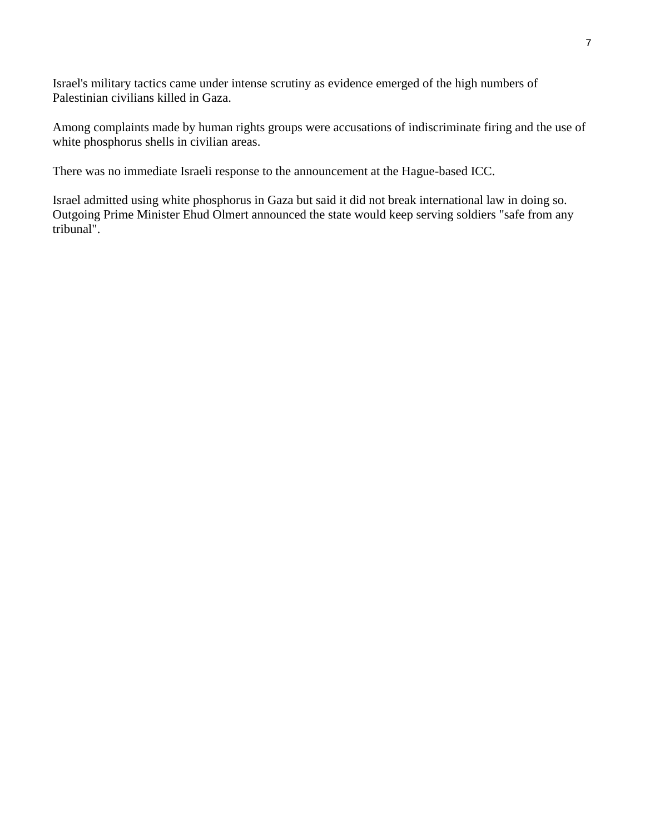Israel's military tactics came under intense scrutiny as evidence emerged of the high numbers of Palestinian civilians killed in Gaza.

Among complaints made by human rights groups were accusations of indiscriminate firing and the use of white phosphorus shells in civilian areas.

There was no immediate Israeli response to the announcement at the Hague-based ICC.

Israel admitted using white phosphorus in Gaza but said it did not break international law in doing so. Outgoing Prime Minister Ehud Olmert announced the state would keep serving soldiers "safe from any tribunal".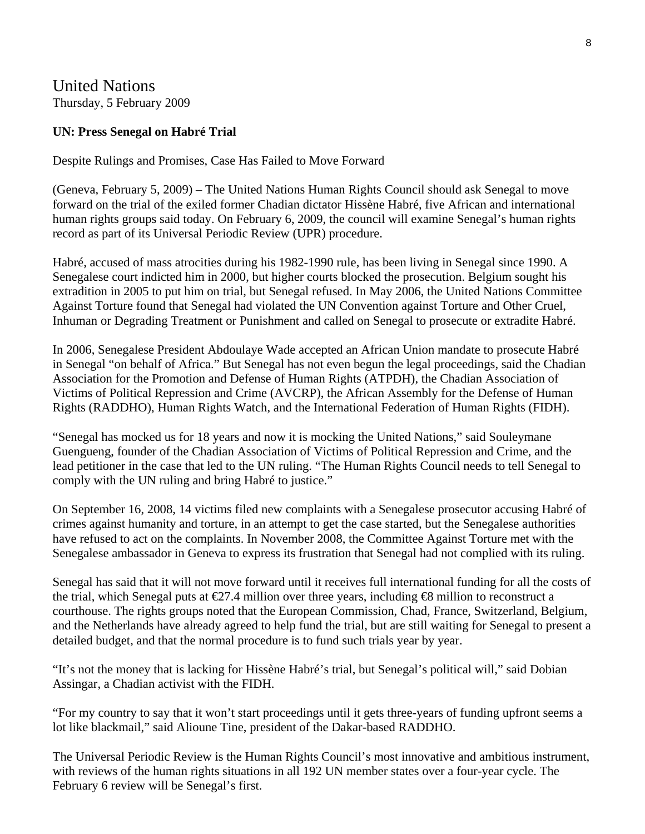United Nations Thursday, 5 February 2009

#### **UN: Press Senegal on Habré Trial**

Despite Rulings and Promises, Case Has Failed to Move Forward

(Geneva, February 5, 2009) – The United Nations Human Rights Council should ask Senegal to move forward on the trial of the exiled former Chadian dictator Hissène Habré, five African and international human rights groups said today. On February 6, 2009, the council will examine Senegal's human rights record as part of its Universal Periodic Review (UPR) procedure.

Habré, accused of mass atrocities during his 1982-1990 rule, has been living in Senegal since 1990. A Senegalese court indicted him in 2000, but higher courts blocked the prosecution. Belgium sought his extradition in 2005 to put him on trial, but Senegal refused. In May 2006, the United Nations Committee Against Torture found that Senegal had violated the UN Convention against Torture and Other Cruel, Inhuman or Degrading Treatment or Punishment and called on Senegal to prosecute or extradite Habré.

In 2006, Senegalese President Abdoulaye Wade accepted an African Union mandate to prosecute Habré in Senegal "on behalf of Africa." But Senegal has not even begun the legal proceedings, said the Chadian Association for the Promotion and Defense of Human Rights (ATPDH), the Chadian Association of Victims of Political Repression and Crime (AVCRP), the African Assembly for the Defense of Human Rights (RADDHO), Human Rights Watch, and the International Federation of Human Rights (FIDH).

"Senegal has mocked us for 18 years and now it is mocking the United Nations," said Souleymane Guengueng, founder of the Chadian Association of Victims of Political Repression and Crime, and the lead petitioner in the case that led to the UN ruling. "The Human Rights Council needs to tell Senegal to comply with the UN ruling and bring Habré to justice."

On September 16, 2008, 14 victims filed new complaints with a Senegalese prosecutor accusing Habré of crimes against humanity and torture, in an attempt to get the case started, but the Senegalese authorities have refused to act on the complaints. In November 2008, the Committee Against Torture met with the Senegalese ambassador in Geneva to express its frustration that Senegal had not complied with its ruling.

Senegal has said that it will not move forward until it receives full international funding for all the costs of the trial, which Senegal puts at  $\epsilon$ 27.4 million over three years, including  $\epsilon$ 8 million to reconstruct a courthouse. The rights groups noted that the European Commission, Chad, France, Switzerland, Belgium, and the Netherlands have already agreed to help fund the trial, but are still waiting for Senegal to present a detailed budget, and that the normal procedure is to fund such trials year by year.

"It's not the money that is lacking for Hissène Habré's trial, but Senegal's political will," said Dobian Assingar, a Chadian activist with the FIDH.

"For my country to say that it won't start proceedings until it gets three-years of funding upfront seems a lot like blackmail," said Alioune Tine, president of the Dakar-based RADDHO.

The Universal Periodic Review is the Human Rights Council's most innovative and ambitious instrument, with reviews of the human rights situations in all 192 UN member states over a four-year cycle. The February 6 review will be Senegal's first.